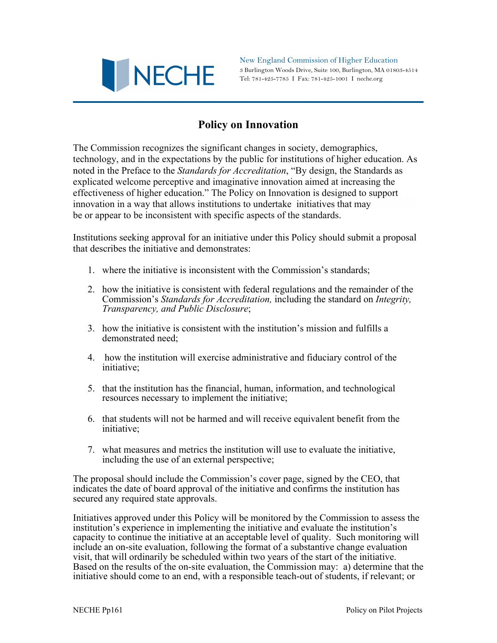

New England Commission of Higher Education 3 Burlington Woods Drive, Suite 100, Burlington, MA 01803-4514 Tel: 781-425-7785 I Fax: 781-425-1001 I neche.org

## **Policy on Innovation**

The Commission recognizes the significant changes in society, demographics, technology, and in the expectations by the public for institutions of higher education. As noted in the Preface to the *Standards for Accreditation*, "By design, the Standards as explicated welcome perceptive and imaginative innovation aimed at increasing the effectiveness of higher education." The Policy on Innovation is designed to support innovation in a way that allows institutions to undertake initiatives that may be or appear to be inconsistent with specific aspects of the standards.

Institutions seeking approval for an initiative under this Policy should submit a proposal that describes the initiative and demonstrates:

- 1. where the initiative is inconsistent with the Commission's standards;
- 2. how the initiative is consistent with federal regulations and the remainder of the Commission's *Standards for Accreditation,* including the standard on *Integrity, Transparency, and Public Disclosure*;
- 3. how the initiative is consistent with the institution's mission and fulfills a demonstrated need;
- 4. how the institution will exercise administrative and fiduciary control of the initiative;
- 5. that the institution has the financial, human, information, and technological resources necessary to implement the initiative;
- 6. that students will not be harmed and will receive equivalent benefit from the initiative;
- 7. what measures and metrics the institution will use to evaluate the initiative, including the use of an external perspective;

The proposal should include the Commission's cover page, signed by the CEO, that indicates the date of board approval of the initiative and confirms the institution has secured any required state approvals.

Initiatives approved under this Policy will be monitored by the Commission to assess the institution's experience in implementing the initiative and evaluate the institution's capacity to continue the initiative at an acceptable level of quality. Such monitoring will include an on-site evaluation, following the format of a substantive change evaluation visit, that will ordinarily be scheduled within two years of the start of the initiative. Based on the results of the on-site evaluation, the Commission may: a) determine that the initiative should come to an end, with a responsible teach-out of students, if relevant; or